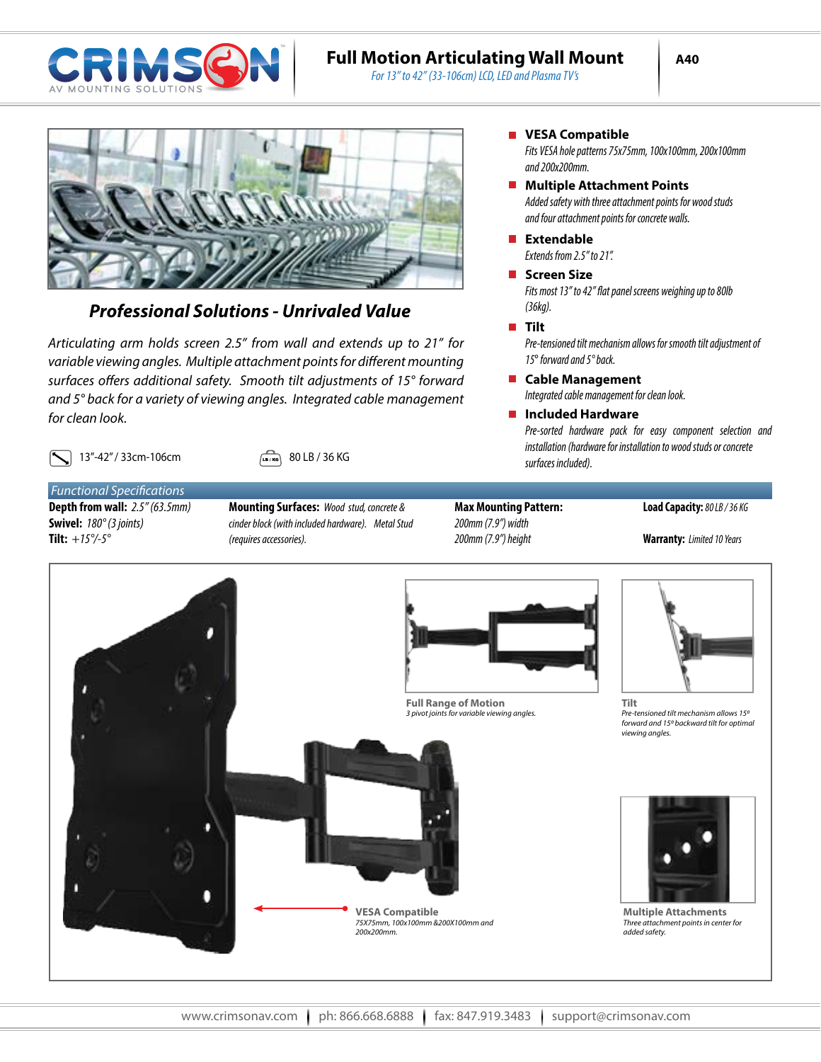

## **Full Motion Articulating Wall Mount**

*For 13" to 42" (33-106cm) LCD, LED and Plasma TV's*



## *Professional Solutions - Unrivaled Value*

*Articulating arm holds screen 2.5" from wall and extends up to 21" for variable viewing angles. Multiple attachment points for different mounting surfaces offers additional safety. Smooth tilt adjustments of 15° forward and 5° back for a variety of viewing angles. Integrated cable management for clean look.* 

**13**"-42" / 33cm-106cm  $\begin{bmatrix} \Box & 13 \end{bmatrix}$  80 LB / 36 KG

*Functional Specifications* **Depth from wall:** *2.5" (63.5mm)* **Swivel:** *180° (3 joints)* **Tilt:** *+15°/-5°*

- **Mounting Surfaces:** *Wood stud, concrete & cinder block (with included hardware). Metal Stud (requires accessories).*
- **Max Mounting Pattern:** *200mm (7.9") width 200mm (7.9") height*

#### **Load Capacity:** *80 LB / 36 KG*

**Warranty:** *Limited 10 Years*



**NR** VESA Compatible

*Fits VESA hole patterns 75x75mm, 100x100mm, 200x100mm and 200x200mm.*

- *Added safety with three attachment points for wood studs and four attachment points for concrete walls.* **Multiple Attachment Points**
- *Extends from 2.5" to 21".* **Extendable**
- **Screen Size**

*Fits most 13" to 42" flat panel screens weighing up to 80lb (36kg).*

#### **Tilt**

*Pre-tensioned tilt mechanism allows for smooth tilt adjustment of 15*° *forward and 5° back.*

*Integrated cable management for clean look.* **Cable Management**

### **Included Hardware**

*Pre-sorted hardware pack for easy component selection and installation (hardware for installation to wood studs or concrete surfaces included).*